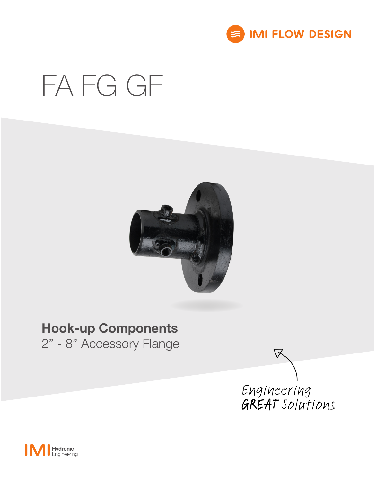

# FA FG GF



## Hook-up Components

2" - 8" Accessory Flange



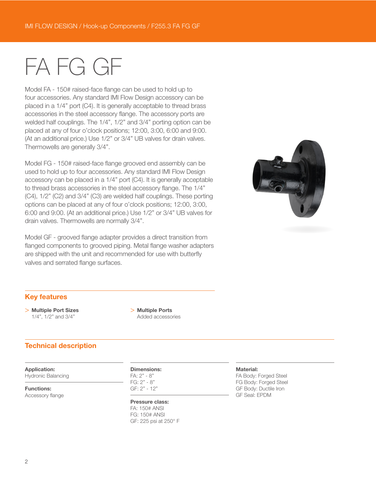## FA FG GF

Model FA - 150# raised-face flange can be used to hold up to four accessories. Any standard IMI Flow Design accessory can be placed in a 1/4" port (C4). It is generally acceptable to thread brass accessories in the steel accessory flange. The accessory ports are welded half couplings. The 1/4", 1/2" and 3/4" porting option can be placed at any of four o'clock positions; 12:00, 3:00, 6:00 and 9:00. (At an additional price.) Use 1/2" or 3/4" UB valves for drain valves. Thermowells are generally 3/4".

Model FG - 150# raised-face flange grooved end assembly can be used to hold up to four accessories. Any standard IMI Flow Design accessory can be placed in a 1/4" port (C4). It is generally acceptable to thread brass accessories in the steel accessory flange. The 1/4" (C4), 1/2" (C2) and 3/4" (C3) are welded half couplings. These porting options can be placed at any of four o'clock positions; 12:00, 3:00, 6:00 and 9:00. (At an additional price.) Use 1/2" or 3/4" UB valves for drain valves. Thermowells are normally 3/4".

Model GF - grooved flange adapter provides a direct transition from flanged components to grooved piping. Metal flange washer adapters are shipped with the unit and recommended for use with butterfly valves and serrated flange surfaces.



#### Key features

> Multiple Port Sizes 1/4", 1/2" and 3/4"

> Multiple Ports Added accessories

#### Technical description

#### Application:

Hydronic Balancing

Functions:

Accessory flange

#### Dimensions:

FA: 2" - 8" FG: 2" - 8" GF: 2" - 12"

#### Pressure class:

FA: 150# ANSI FG: 150# ANSI GF: 225 psi at 250° F

#### Material:

FA Body: Forged Steel FG Body: Forged Steel GF Body: Ductile Iron GF Seal: EPDM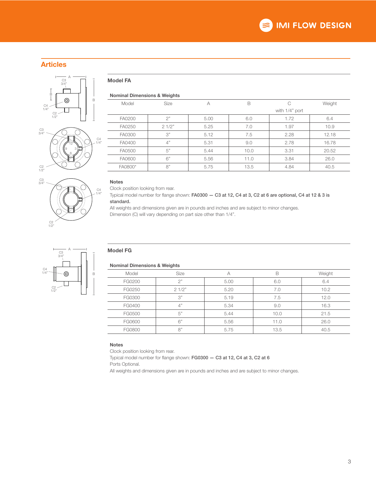#### Articles





C3 3/4"

C2 1/2"

### Model FA

#### Nominal Dimensions & Weights

| Model   | Size  | A    | B    |                | Weight |
|---------|-------|------|------|----------------|--------|
|         |       |      |      | with 1/4" port |        |
| FA0200  | 2"    | 5.00 | 6.0  | 1.72           | 6.4    |
| FA0250  | 21/2" | 5.25 | 7.0  | 1.97           | 10.9   |
| FA0300  | 3"    | 5.12 | 7.5  | 2.28           | 12.18  |
| FA0400  | 4"    | 5.31 | 9.0  | 2.78           | 16.78  |
| FA0500  | 5"    | 5.44 | 10.0 | 3.31           | 20.52  |
| FA0600  | 6"    | 5.56 | 11.0 | 3.84           | 26.0   |
| FA0800* | 8"    | 5.75 | 13.5 | 4.84           | 40.5   |

#### Notes

C4 1/4" Clock position looking from rear.

Typical model number for flange shown: FA0300 — C3 at 12, C4 at 3, C2 at 6 are optional, C4 at 12 & 3 is standard.

All weights and dimensions given are in pounds and inches and are subject to minor changes. Dimension (C) will vary depending on part size other than 1/4".

#### Model FG

#### Nominal Dimensions & Weights

|        | -               |      |      |        |
|--------|-----------------|------|------|--------|
| Model  | Size            | А    | B    | Weight |
| FG0200 | つ"              | 5.00 | 6.0  | 6.4    |
| FG0250 | 21/2"           | 5.20 | 7.0  | 10.2   |
| FG0300 | $\mathcal{S}''$ | 5.19 | 7.5  | 12.0   |
| FG0400 | 4"              | 5.34 | 9.0  | 16.3   |
| FG0500 | 5"              | 5.44 | 10.0 | 21.5   |
| FG0600 | 6"              | 5.56 | 11.0 | 26.0   |
| FG0800 | 8"              | 5.75 | 13.5 | 40.5   |

#### Notes

Clock position looking from rear.

Typical model number for flange shown: FG0300 — C3 at 12, C4 at 3, C2 at 6

Ports Optional.

All weights and dimensions given are in pounds and inches and are subject to minor changes.